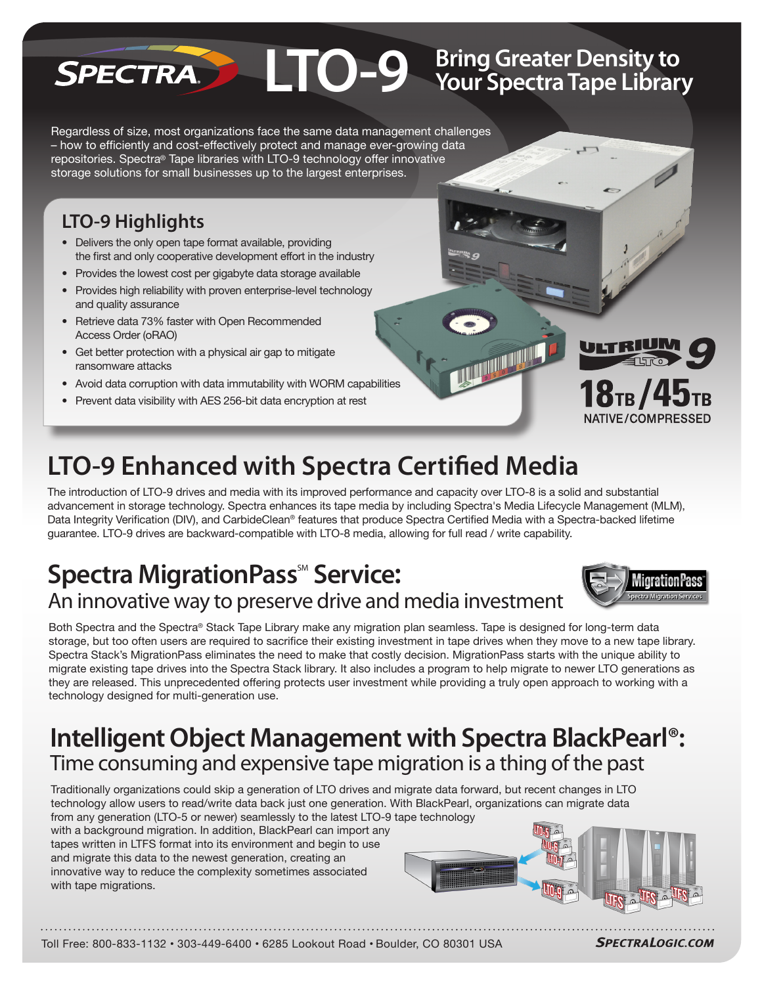#### **LTO-9** Bring Greater Density to<br>
Your Spectra Tape Library **Bring Greater Density to**  SPECTRA

Regardless of size, most organizations face the same data management challenges – how to efficiently and cost-effectively protect and manage ever-growing data repositories. Spectra® Tape libraries with LTO-9 technology offer innovative storage solutions for small businesses up to the largest enterprises.

# **LTO-9 Highlights**

- **•** Delivers the only open tape format available, providing the first and only cooperative development effort in the industry
- **•** Provides the lowest cost per gigabyte data storage available
- **•** Provides high reliability with proven enterprise-level technology and quality assurance
- **•** Retrieve data 73% faster with Open Recommended Access Order (oRAO)
- **•** Get better protection with a physical air gap to mitigate ransomware attacks
- **•** Avoid data corruption with data immutability with WORM capabilities
- **•** Prevent data visibility with AES 256-bit data encryption at rest



The introduction of LTO-9 drives and media with its improved performance and capacity over LTO-8 is a solid and substantial advancement in storage technology. Spectra enhances its tape media by including Spectra's Media Lifecycle Management (MLM), Data Integrity Verification (DIV), and CarbideClean® features that produce Spectra Certified Media with a Spectra-backed lifetime guarantee. LTO-9 drives are backward-compatible with LTO-8 media, allowing for full read / write capability.

# **Spectra MigrationPass<sup>®</sup> Service:** An innovative way to preserve drive and media investment



ULTRIU

18 $_{\rm{TB}}$  / 4

NATIVE/COMPRESSED

Both Spectra and the Spectra® Stack Tape Library make any migration plan seamless. Tape is designed for long-term data storage, but too often users are required to sacrifice their existing investment in tape drives when they move to a new tape library. Spectra Stack's MigrationPass eliminates the need to make that costly decision. MigrationPass starts with the unique ability to migrate existing tape drives into the Spectra Stack library. It also includes a program to help migrate to newer LTO generations as they are released. This unprecedented offering protects user investment while providing a truly open approach to working with a technology designed for multi-generation use.

# **Intelligent Object Management with Spectra BlackPearl®:** Time consuming and expensive tape migration is a thing of the past

Traditionally organizations could skip a generation of LTO drives and migrate data forward, but recent changes in LTO technology allow users to read/write data back just one generation. With BlackPearl, organizations can migrate data from any generation (LTO-5 or newer) seamlessly to the latest LTO-9 tape technology

with a background migration. In addition, BlackPearl can import any tapes written in LTFS format into its environment and begin to use and migrate this data to the newest generation, creating an innovative way to reduce the complexity sometimes associated with tape migrations.



**THE REAL PROPERTY** 

Toll Free: 800-833-1132 • 303-449-6400 • 6285 Lookout Road • Boulder, CO 80301 USA

**SPECTRALOGIC.COM**